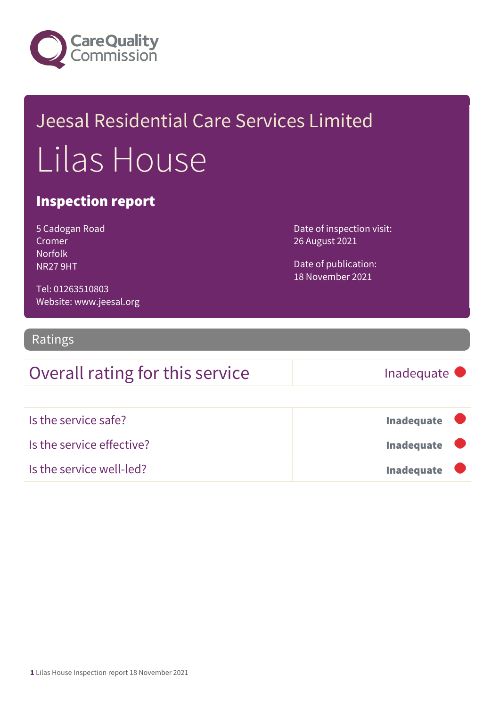

## Jeesal Residential Care Services Limited Lilas House

#### Inspection report

| 5 Cadogan Road |
|----------------|
| Cromer         |
| Norfolk        |
| <b>NR279HT</b> |

Date of inspection visit: 26 August 2021

Date of publication: 18 November 2021

Tel: 01263510803 Website: www.jeesal.org

#### Ratings

### Overall rating for this service Fig. 5 and the linadequate

| Is the service safe?      | <b>Inadequate</b> |
|---------------------------|-------------------|
| Is the service effective? | <b>Inadequate</b> |
| Is the service well-led?  | <b>Inadequate</b> |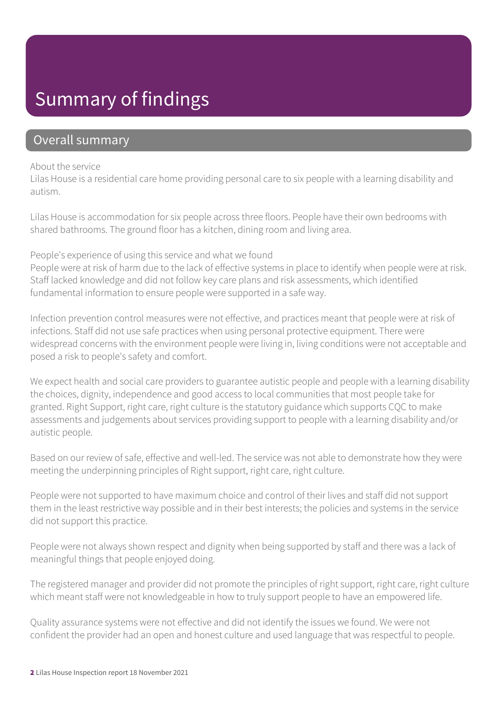### Summary of findings

#### Overall summary

#### About the service

Lilas House is a residential care home providing personal care to six people with a learning disability and autism.

Lilas House is accommodation for six people across three floors. People have their own bedrooms with shared bathrooms. The ground floor has a kitchen, dining room and living area.

People's experience of using this service and what we found

People were at risk of harm due to the lack of effective systems in place to identify when people were at risk. Staff lacked knowledge and did not follow key care plans and risk assessments, which identified fundamental information to ensure people were supported in a safe way.

Infection prevention control measures were not effective, and practices meant that people were at risk of infections. Staff did not use safe practices when using personal protective equipment. There were widespread concerns with the environment people were living in, living conditions were not acceptable and posed a risk to people's safety and comfort.

We expect health and social care providers to guarantee autistic people and people with a learning disability the choices, dignity, independence and good access to local communities that most people take for granted. Right Support, right care, right culture is the statutory guidance which supports CQC to make assessments and judgements about services providing support to people with a learning disability and/or autistic people.

Based on our review of safe, effective and well-led. The service was not able to demonstrate how they were meeting the underpinning principles of Right support, right care, right culture.

People were not supported to have maximum choice and control of their lives and staff did not support them in the least restrictive way possible and in their best interests; the policies and systems in the service did not support this practice.

People were not always shown respect and dignity when being supported by staff and there was a lack of meaningful things that people enjoyed doing.

The registered manager and provider did not promote the principles of right support, right care, right culture which meant staff were not knowledgeable in how to truly support people to have an empowered life.

Quality assurance systems were not effective and did not identify the issues we found. We were not confident the provider had an open and honest culture and used language that was respectful to people.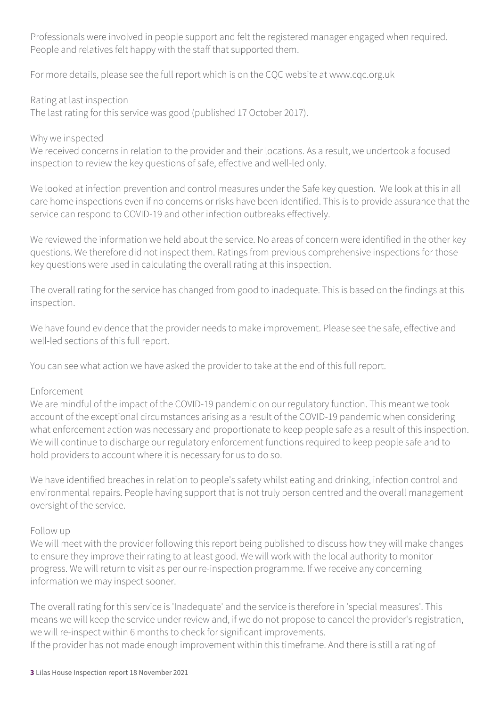Professionals were involved in people support and felt the registered manager engaged when required. People and relatives felt happy with the staff that supported them.

For more details, please see the full report which is on the CQC website at www.cqc.org.uk

Rating at last inspection

The last rating for this service was good (published 17 October 2017).

#### Why we inspected

We received concerns in relation to the provider and their locations. As a result, we undertook a focused inspection to review the key questions of safe, effective and well-led only.

We looked at infection prevention and control measures under the Safe key question. We look at this in all care home inspections even if no concerns or risks have been identified. This is to provide assurance that the service can respond to COVID-19 and other infection outbreaks effectively.

We reviewed the information we held about the service. No areas of concern were identified in the other key questions. We therefore did not inspect them. Ratings from previous comprehensive inspections for those key questions were used in calculating the overall rating at this inspection.

The overall rating for the service has changed from good to inadequate. This is based on the findings at this inspection.

We have found evidence that the provider needs to make improvement. Please see the safe, effective and well-led sections of this full report.

You can see what action we have asked the provider to take at the end of this full report.

#### Enforcement

We are mindful of the impact of the COVID-19 pandemic on our regulatory function. This meant we took account of the exceptional circumstances arising as a result of the COVID-19 pandemic when considering what enforcement action was necessary and proportionate to keep people safe as a result of this inspection. We will continue to discharge our regulatory enforcement functions required to keep people safe and to hold providers to account where it is necessary for us to do so.

We have identified breaches in relation to people's safety whilst eating and drinking, infection control and environmental repairs. People having support that is not truly person centred and the overall management oversight of the service.

#### Follow up

We will meet with the provider following this report being published to discuss how they will make changes to ensure they improve their rating to at least good. We will work with the local authority to monitor progress. We will return to visit as per our re-inspection programme. If we receive any concerning information we may inspect sooner.

The overall rating for this service is 'Inadequate' and the service is therefore in 'special measures'. This means we will keep the service under review and, if we do not propose to cancel the provider's registration, we will re-inspect within 6 months to check for significant improvements. If the provider has not made enough improvement within this timeframe. And there is still a rating of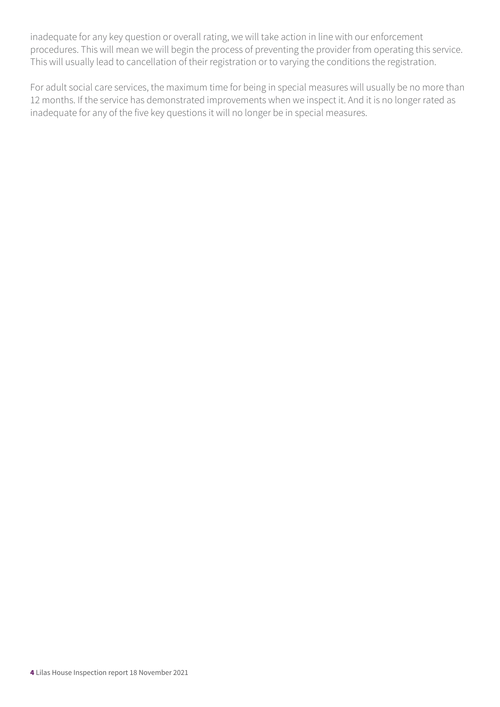inadequate for any key question or overall rating, we will take action in line with our enforcement procedures. This will mean we will begin the process of preventing the provider from operating this service. This will usually lead to cancellation of their registration or to varying the conditions the registration.

For adult social care services, the maximum time for being in special measures will usually be no more than 12 months. If the service has demonstrated improvements when we inspect it. And it is no longer rated as inadequate for any of the five key questions it will no longer be in special measures.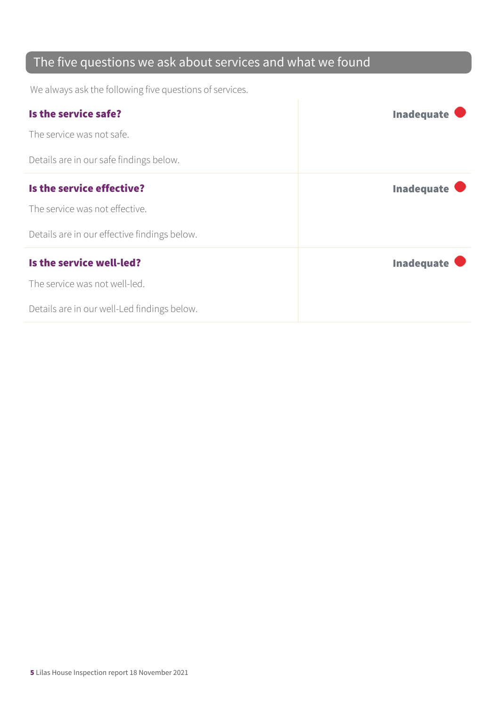### The five questions we ask about services and what we found

We always ask the following five questions of services.

| Is the service safe?                         | <b>Inadequate</b> |
|----------------------------------------------|-------------------|
| The service was not safe.                    |                   |
| Details are in our safe findings below.      |                   |
| Is the service effective?                    | <b>Inadequate</b> |
| The service was not effective.               |                   |
| Details are in our effective findings below. |                   |
| Is the service well-led?                     | <b>Inadequate</b> |
| The service was not well-led.                |                   |
| Details are in our well-Led findings below.  |                   |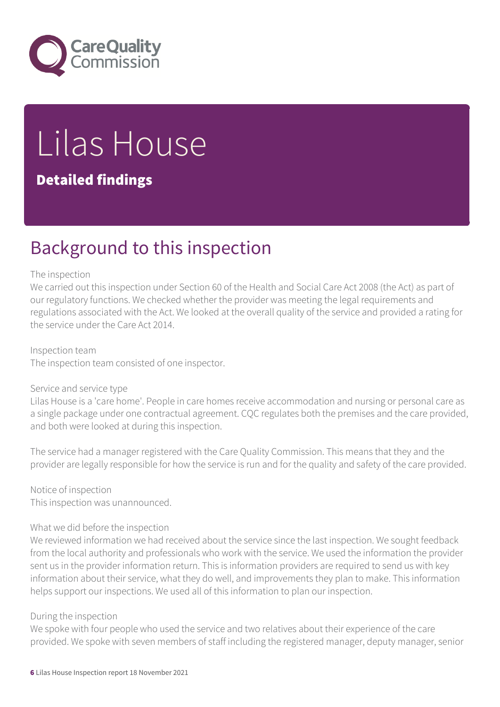

# Lilas House

#### Detailed findings

### Background to this inspection

#### The inspection

We carried out this inspection under Section 60 of the Health and Social Care Act 2008 (the Act) as part of our regulatory functions. We checked whether the provider was meeting the legal requirements and regulations associated with the Act. We looked at the overall quality of the service and provided a rating for the service under the Care Act 2014.

Inspection team The inspection team consisted of one inspector.

#### Service and service type

Lilas House is a 'care home'. People in care homes receive accommodation and nursing or personal care as a single package under one contractual agreement. CQC regulates both the premises and the care provided, and both were looked at during this inspection.

The service had a manager registered with the Care Quality Commission. This means that they and the provider are legally responsible for how the service is run and for the quality and safety of the care provided.

Notice of inspection This inspection was unannounced.

#### What we did before the inspection

We reviewed information we had received about the service since the last inspection. We sought feedback from the local authority and professionals who work with the service. We used the information the provider sent us in the provider information return. This is information providers are required to send us with key information about their service, what they do well, and improvements they plan to make. This information helps support our inspections. We used all of this information to plan our inspection.

#### During the inspection

We spoke with four people who used the service and two relatives about their experience of the care provided. We spoke with seven members of staff including the registered manager, deputy manager, senior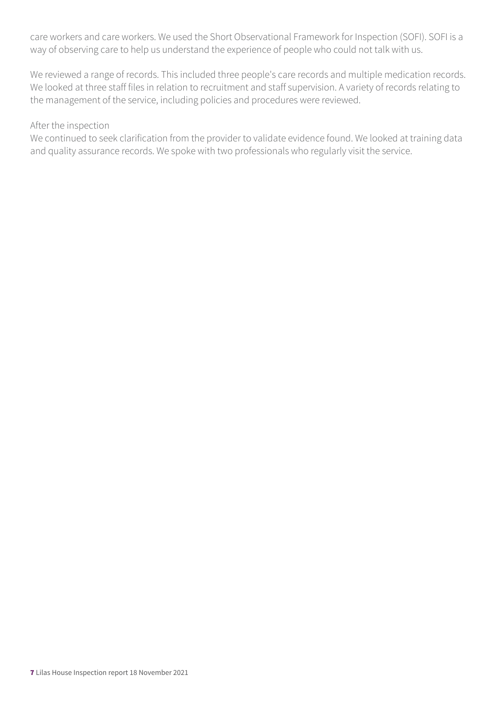care workers and care workers. We used the Short Observational Framework for Inspection (SOFI). SOFI is a way of observing care to help us understand the experience of people who could not talk with us.

We reviewed a range of records. This included three people's care records and multiple medication records. We looked at three staff files in relation to recruitment and staff supervision. A variety of records relating to the management of the service, including policies and procedures were reviewed.

#### After the inspection

We continued to seek clarification from the provider to validate evidence found. We looked at training data and quality assurance records. We spoke with two professionals who regularly visit the service.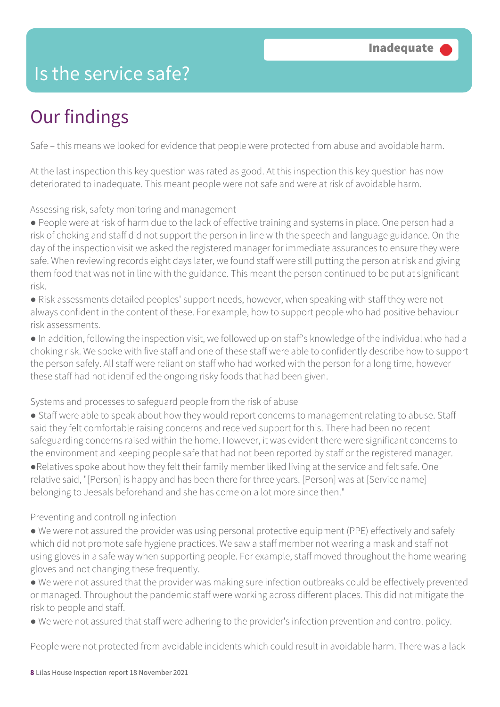### Is the service safe?

### Our findings

Safe – this means we looked for evidence that people were protected from abuse and avoidable harm.

At the last inspection this key question was rated as good. At this inspection this key question has now deteriorated to inadequate. This meant people were not safe and were at risk of avoidable harm.

Assessing risk, safety monitoring and management

● People were at risk of harm due to the lack of effective training and systems in place. One person had a risk of choking and staff did not support the person in line with the speech and language guidance. On the day of the inspection visit we asked the registered manager for immediate assurances to ensure they were safe. When reviewing records eight days later, we found staff were still putting the person at risk and giving them food that was not in line with the guidance. This meant the person continued to be put at significant risk.

● Risk assessments detailed peoples' support needs, however, when speaking with staff they were not always confident in the content of these. For example, how to support people who had positive behaviour risk assessments.

● In addition, following the inspection visit, we followed up on staff's knowledge of the individual who had a choking risk. We spoke with five staff and one of these staff were able to confidently describe how to support the person safely. All staff were reliant on staff who had worked with the person for a long time, however these staff had not identified the ongoing risky foods that had been given.

Systems and processes to safeguard people from the risk of abuse

● Staff were able to speak about how they would report concerns to management relating to abuse. Staff said they felt comfortable raising concerns and received support for this. There had been no recent safeguarding concerns raised within the home. However, it was evident there were significant concerns to the environment and keeping people safe that had not been reported by staff or the registered manager.

●Relatives spoke about how they felt their family member liked living at the service and felt safe. One relative said, "[Person] is happy and has been there for three years. [Person] was at [Service name] belonging to Jeesals beforehand and she has come on a lot more since then."

#### Preventing and controlling infection

● We were not assured the provider was using personal protective equipment (PPE) effectively and safely which did not promote safe hygiene practices. We saw a staff member not wearing a mask and staff not using gloves in a safe way when supporting people. For example, staff moved throughout the home wearing gloves and not changing these frequently.

● We were not assured that the provider was making sure infection outbreaks could be effectively prevented or managed. Throughout the pandemic staff were working across different places. This did not mitigate the risk to people and staff.

● We were not assured that staff were adhering to the provider's infection prevention and control policy.

People were not protected from avoidable incidents which could result in avoidable harm. There was a lack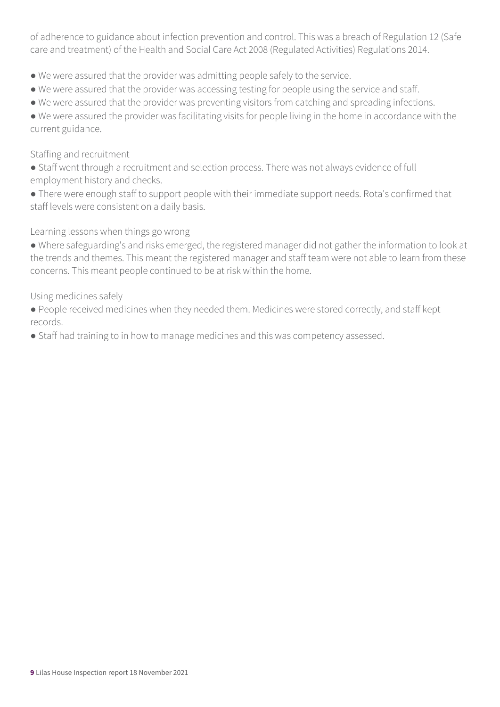of adherence to guidance about infection prevention and control. This was a breach of Regulation 12 (Safe care and treatment) of the Health and Social Care Act 2008 (Regulated Activities) Regulations 2014.

- We were assured that the provider was admitting people safely to the service.
- We were assured that the provider was accessing testing for people using the service and staff.
- We were assured that the provider was preventing visitors from catching and spreading infections.

● We were assured the provider was facilitating visits for people living in the home in accordance with the current guidance.

#### Staffing and recruitment

- Staff went through a recruitment and selection process. There was not always evidence of full employment history and checks.
- There were enough staff to support people with their immediate support needs. Rota's confirmed that staff levels were consistent on a daily basis.

Learning lessons when things go wrong

● Where safeguarding's and risks emerged, the registered manager did not gather the information to look at the trends and themes. This meant the registered manager and staff team were not able to learn from these concerns. This meant people continued to be at risk within the home.

Using medicines safely

● People received medicines when they needed them. Medicines were stored correctly, and staff kept records.

● Staff had training to in how to manage medicines and this was competency assessed.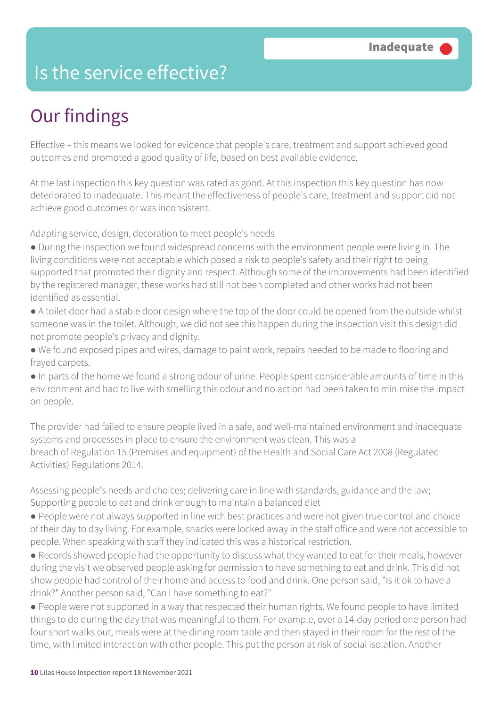### Is the service effective?

### Our findings

Effective – this means we looked for evidence that people's care, treatment and support achieved good outcomes and promoted a good quality of life, based on best available evidence.

At the last inspection this key question was rated as good. At this inspection this key question has now deteriorated to inadequate. This meant the effectiveness of people's care, treatment and support did not achieve good outcomes or was inconsistent.

Adapting service, design, decoration to meet people's needs

- During the inspection we found widespread concerns with the environment people were living in. The living conditions were not acceptable which posed a risk to people's safety and their right to being supported that promoted their dignity and respect. Although some of the improvements had been identified by the registered manager, these works had still not been completed and other works had not been identified as essential.
- A toilet door had a stable door design where the top of the door could be opened from the outside whilst someone was in the toilet. Although, we did not see this happen during the inspection visit this design did not promote people's privacy and dignity.
- We found exposed pipes and wires, damage to paint work, repairs needed to be made to flooring and frayed carpets.
- In parts of the home we found a strong odour of urine. People spent considerable amounts of time in this environment and had to live with smelling this odour and no action had been taken to minimise the impact on people.

The provider had failed to ensure people lived in a safe, and well-maintained environment and inadequate systems and processes in place to ensure the environment was clean. This was a breach of Regulation 15 (Premises and equipment) of the Health and Social Care Act 2008 (Regulated Activities) Regulations 2014.

Assessing people's needs and choices; delivering care in line with standards, guidance and the law; Supporting people to eat and drink enough to maintain a balanced diet

- People were not always supported in line with best practices and were not given true control and choice of their day to day living. For example, snacks were locked away in the staff office and were not accessible to people. When speaking with staff they indicated this was a historical restriction.
- Records showed people had the opportunity to discuss what they wanted to eat for their meals, however during the visit we observed people asking for permission to have something to eat and drink. This did not show people had control of their home and access to food and drink. One person said, "Is it ok to have a drink?" Another person said, "Can I have something to eat?"
- People were not supported in a way that respected their human rights. We found people to have limited things to do during the day that was meaningful to them. For example, over a 14-day period one person had four short walks out, meals were at the dining room table and then stayed in their room for the rest of the time, with limited interaction with other people. This put the person at risk of social isolation. Another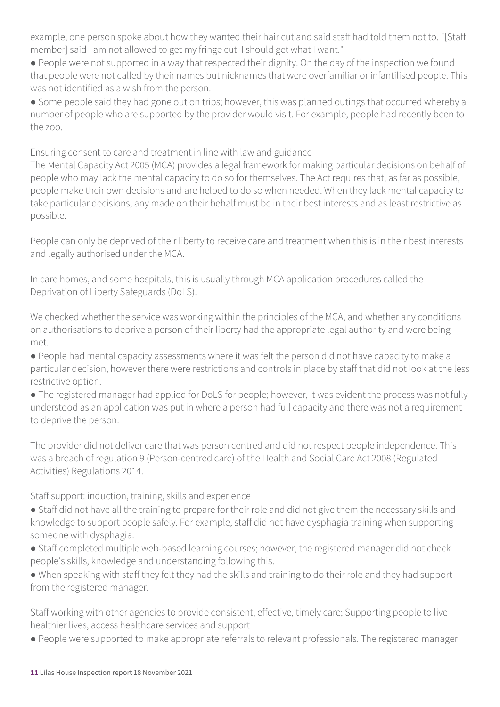example, one person spoke about how they wanted their hair cut and said staff had told them not to. "[Staff member] said I am not allowed to get my fringe cut. I should get what I want."

● People were not supported in a way that respected their dignity. On the day of the inspection we found that people were not called by their names but nicknames that were overfamiliar or infantilised people. This was not identified as a wish from the person.

● Some people said they had gone out on trips; however, this was planned outings that occurred whereby a number of people who are supported by the provider would visit. For example, people had recently been to the zoo.

Ensuring consent to care and treatment in line with law and guidance

The Mental Capacity Act 2005 (MCA) provides a legal framework for making particular decisions on behalf of people who may lack the mental capacity to do so for themselves. The Act requires that, as far as possible, people make their own decisions and are helped to do so when needed. When they lack mental capacity to take particular decisions, any made on their behalf must be in their best interests and as least restrictive as possible.

People can only be deprived of their liberty to receive care and treatment when this is in their best interests and legally authorised under the MCA.

In care homes, and some hospitals, this is usually through MCA application procedures called the Deprivation of Liberty Safeguards (DoLS).

We checked whether the service was working within the principles of the MCA, and whether any conditions on authorisations to deprive a person of their liberty had the appropriate legal authority and were being met.

● People had mental capacity assessments where it was felt the person did not have capacity to make a particular decision, however there were restrictions and controls in place by staff that did not look at the less restrictive option.

• The registered manager had applied for DoLS for people; however, it was evident the process was not fully understood as an application was put in where a person had full capacity and there was not a requirement to deprive the person.

The provider did not deliver care that was person centred and did not respect people independence. This was a breach of regulation 9 (Person-centred care) of the Health and Social Care Act 2008 (Regulated Activities) Regulations 2014.

Staff support: induction, training, skills and experience

- Staff did not have all the training to prepare for their role and did not give them the necessary skills and knowledge to support people safely. For example, staff did not have dysphagia training when supporting someone with dysphagia.
- Staff completed multiple web-based learning courses; however, the registered manager did not check people's skills, knowledge and understanding following this.

● When speaking with staff they felt they had the skills and training to do their role and they had support from the registered manager.

Staff working with other agencies to provide consistent, effective, timely care; Supporting people to live healthier lives, access healthcare services and support

● People were supported to make appropriate referrals to relevant professionals. The registered manager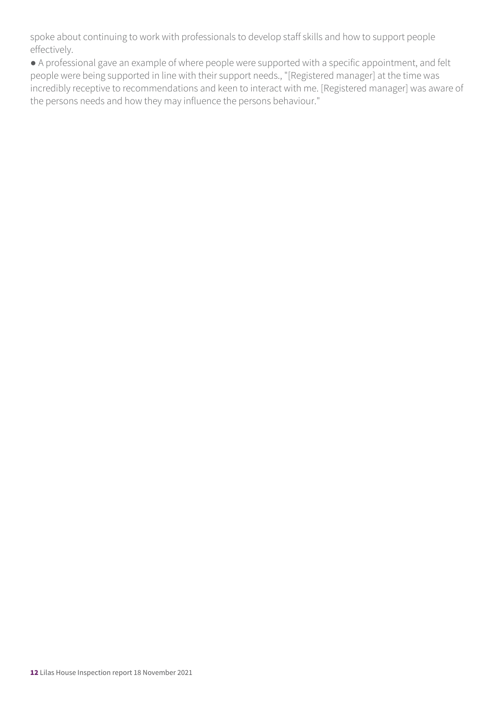spoke about continuing to work with professionals to develop staff skills and how to support people effectively.

● A professional gave an example of where people were supported with a specific appointment, and felt people were being supported in line with their support needs., "[Registered manager] at the time was incredibly receptive to recommendations and keen to interact with me. [Registered manager] was aware of the persons needs and how they may influence the persons behaviour."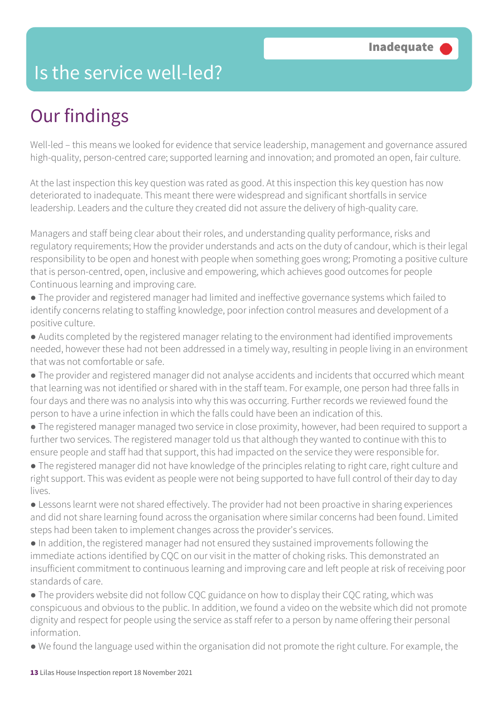### Is the service well-led?

### Our findings

Well-led – this means we looked for evidence that service leadership, management and governance assured high-quality, person-centred care; supported learning and innovation; and promoted an open, fair culture.

At the last inspection this key question was rated as good. At this inspection this key question has now deteriorated to inadequate. This meant there were widespread and significant shortfalls in service leadership. Leaders and the culture they created did not assure the delivery of high-quality care.

Managers and staff being clear about their roles, and understanding quality performance, risks and regulatory requirements; How the provider understands and acts on the duty of candour, which is their legal responsibility to be open and honest with people when something goes wrong; Promoting a positive culture that is person-centred, open, inclusive and empowering, which achieves good outcomes for people Continuous learning and improving care.

● The provider and registered manager had limited and ineffective governance systems which failed to identify concerns relating to staffing knowledge, poor infection control measures and development of a positive culture.

● Audits completed by the registered manager relating to the environment had identified improvements needed, however these had not been addressed in a timely way, resulting in people living in an environment that was not comfortable or safe.

● The provider and registered manager did not analyse accidents and incidents that occurred which meant that learning was not identified or shared with in the staff team. For example, one person had three falls in four days and there was no analysis into why this was occurring. Further records we reviewed found the person to have a urine infection in which the falls could have been an indication of this.

● The registered manager managed two service in close proximity, however, had been required to support a further two services. The registered manager told us that although they wanted to continue with this to ensure people and staff had that support, this had impacted on the service they were responsible for.

● The registered manager did not have knowledge of the principles relating to right care, right culture and right support. This was evident as people were not being supported to have full control of their day to day lives.

● Lessons learnt were not shared effectively. The provider had not been proactive in sharing experiences and did not share learning found across the organisation where similar concerns had been found. Limited steps had been taken to implement changes across the provider's services.

● In addition, the registered manager had not ensured they sustained improvements following the immediate actions identified by CQC on our visit in the matter of choking risks. This demonstrated an insufficient commitment to continuous learning and improving care and left people at risk of receiving poor standards of care.

• The providers website did not follow CQC guidance on how to display their CQC rating, which was conspicuous and obvious to the public. In addition, we found a video on the website which did not promote dignity and respect for people using the service as staff refer to a person by name offering their personal information.

● We found the language used within the organisation did not promote the right culture. For example, the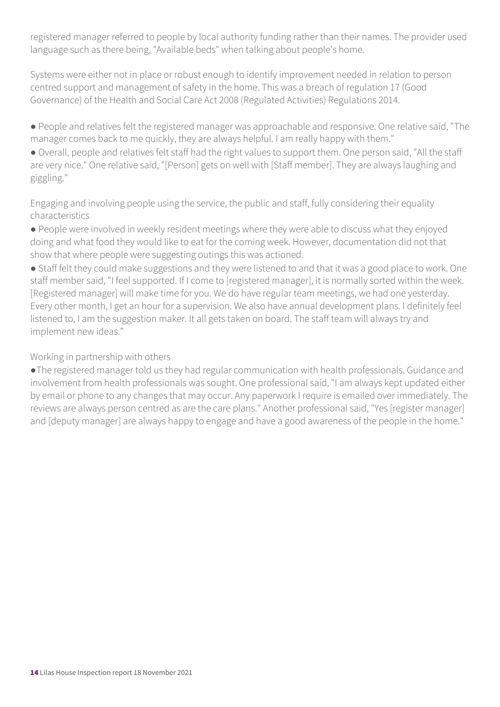registered manager referred to people by local authority funding rather than their names. The provider used language such as there being, "Available beds" when talking about people's home.

Systems were either not in place or robust enough to identify improvement needed in relation to person centred support and management of safety in the home. This was a breach of regulation 17 (Good Governance) of the Health and Social Care Act 2008 (Regulated Activities) Regulations 2014.

● People and relatives felt the registered manager was approachable and responsive. One relative said, "The manager comes back to me quickly, they are always helpful. I am really happy with them."

● Overall, people and relatives felt staff had the right values to support them. One person said, "All the staff are very nice." One relative said, "[Person] gets on well with [Staff member]. They are always laughing and giggling."

Engaging and involving people using the service, the public and staff, fully considering their equality characteristics

● People were involved in weekly resident meetings where they were able to discuss what they enjoyed doing and what food they would like to eat for the coming week. However, documentation did not that show that where people were suggesting outings this was actioned.

● Staff felt they could make suggestions and they were listened to and that it was a good place to work. One staff member said, "I feel supported. If I come to [registered manager], it is normally sorted within the week. [Registered manager] will make time for you. We do have regular team meetings, we had one yesterday. Every other month, I get an hour for a supervision. We also have annual development plans. I definitely feel listened to, I am the suggestion maker. It all gets taken on board. The staff team will always try and implement new ideas."

Working in partnership with others

●The registered manager told us they had regular communication with health professionals. Guidance and involvement from health professionals was sought. One professional said, "I am always kept updated either by email or phone to any changes that may occur. Any paperwork I require is emailed over immediately. The reviews are always person centred as are the care plans." Another professional said, "Yes [register manager] and [deputy manager] are always happy to engage and have a good awareness of the people in the home."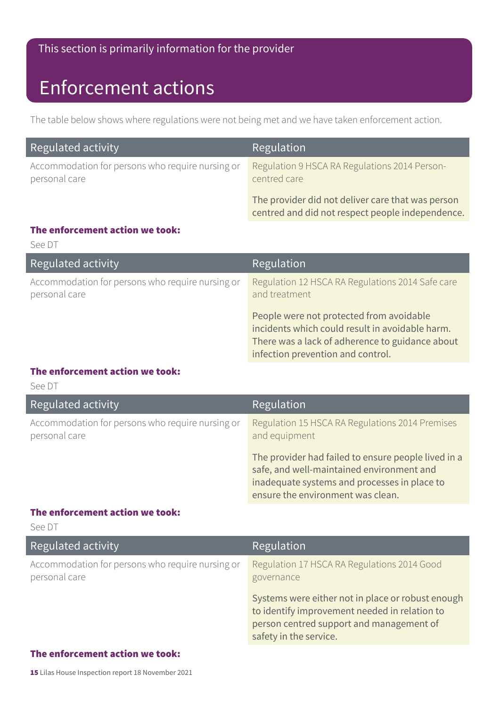#### This section is primarily information for the provider

### Enforcement actions

The table below shows where regulations were not being met and we have taken enforcement action.

| Regulated activity                                                | Regulation                                                                                            |
|-------------------------------------------------------------------|-------------------------------------------------------------------------------------------------------|
| Accommodation for persons who require nursing or<br>personal care | Regulation 9 HSCA RA Regulations 2014 Person-<br>centred care                                         |
|                                                                   | The provider did not deliver care that was person<br>centred and did not respect people independence. |

#### The enforcement action we took:

See DT

| Regulated activity                                                | Regulation                                                                                                                                                                          |
|-------------------------------------------------------------------|-------------------------------------------------------------------------------------------------------------------------------------------------------------------------------------|
| Accommodation for persons who require nursing or<br>personal care | Regulation 12 HSCA RA Regulations 2014 Safe care<br>and treatment                                                                                                                   |
|                                                                   | People were not protected from avoidable<br>incidents which could result in avoidable harm.<br>There was a lack of adherence to guidance about<br>infection prevention and control. |

#### The enforcement action we took:

See DT

| Regulated activity                                                | Regulation                                                                                                                                                                            |
|-------------------------------------------------------------------|---------------------------------------------------------------------------------------------------------------------------------------------------------------------------------------|
| Accommodation for persons who require nursing or<br>personal care | Regulation 15 HSCA RA Regulations 2014 Premises<br>and equipment                                                                                                                      |
|                                                                   | The provider had failed to ensure people lived in a<br>safe, and well-maintained environment and<br>inadequate systems and processes in place to<br>ensure the environment was clean. |

#### The enforcement action we took:

See DT

| Regulated activity                                                | Regulation                                                                                                                                                               |
|-------------------------------------------------------------------|--------------------------------------------------------------------------------------------------------------------------------------------------------------------------|
| Accommodation for persons who require nursing or<br>personal care | Regulation 17 HSCA RA Regulations 2014 Good<br>governance                                                                                                                |
|                                                                   | Systems were either not in place or robust enough<br>to identify improvement needed in relation to<br>person centred support and management of<br>safety in the service. |

#### The enforcement action we took: